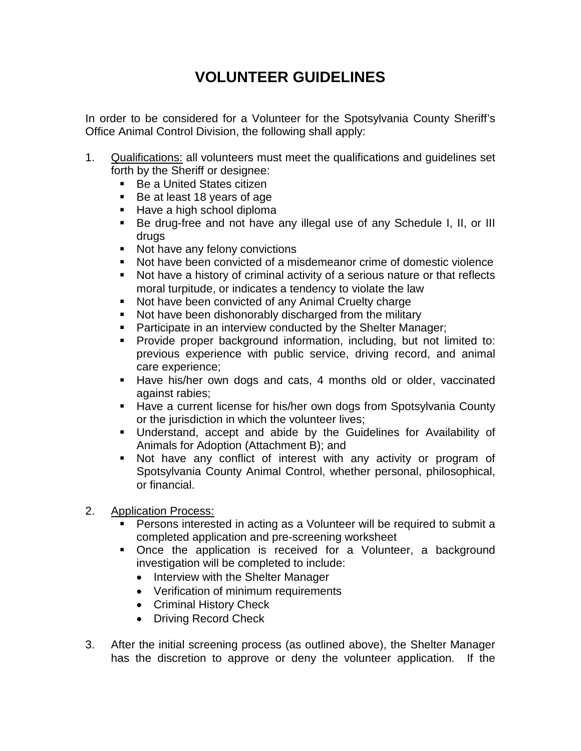## **VOLUNTEER GUIDELINES**

In order to be considered for a Volunteer for the Spotsylvania County Sheriff's Office Animal Control Division, the following shall apply:

- 1. Qualifications: all volunteers must meet the qualifications and guidelines set forth by the Sheriff or designee:
	- Be a United States citizen
	- Be at least 18 years of age
	- **Have a high school diploma**
	- Be drug-free and not have any illegal use of any Schedule I, II, or III drugs
	- Not have any felony convictions<br>■ Not have been convicted of a mi
	- Not have been convicted of a misdemeanor crime of domestic violence
	- Not have a history of criminal activity of a serious nature or that reflects moral turpitude, or indicates a tendency to violate the law
	- Not have been convicted of any Animal Cruelty charge
	- Not have been dishonorably discharged from the military
	- **Participate in an interview conducted by the Shelter Manager;**
	- **Provide proper background information, including, but not limited to:** previous experience with public service, driving record, and animal care experience;
	- Have his/her own dogs and cats, 4 months old or older, vaccinated against rabies;
	- **Have a current license for his/her own dogs from Spotsylvania County** or the jurisdiction in which the volunteer lives;
	- Understand, accept and abide by the Guidelines for Availability of Animals for Adoption (Attachment B); and
	- Not have any conflict of interest with any activity or program of Spotsylvania County Animal Control, whether personal, philosophical, or financial.
- 2. Application Process:
	- Persons interested in acting as a Volunteer will be required to submit a completed application and pre-screening worksheet
	- **•** Once the application is received for a Volunteer, a background investigation will be completed to include:
		- Interview with the Shelter Manager
		- Verification of minimum requirements
		- Criminal History Check
		- Driving Record Check
- 3. After the initial screening process (as outlined above), the Shelter Manager has the discretion to approve or deny the volunteer application. If the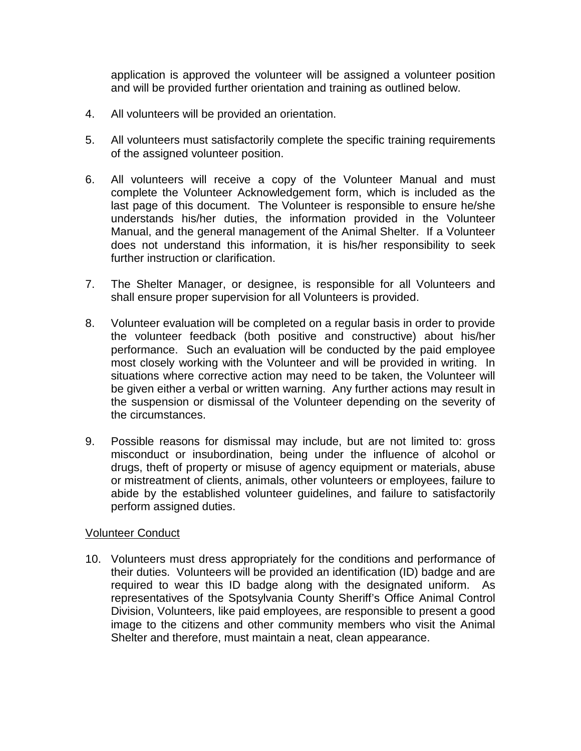application is approved the volunteer will be assigned a volunteer position and will be provided further orientation and training as outlined below.

- 4. All volunteers will be provided an orientation.
- 5. All volunteers must satisfactorily complete the specific training requirements of the assigned volunteer position.
- 6. All volunteers will receive a copy of the Volunteer Manual and must complete the Volunteer Acknowledgement form, which is included as the last page of this document. The Volunteer is responsible to ensure he/she understands his/her duties, the information provided in the Volunteer Manual, and the general management of the Animal Shelter. If a Volunteer does not understand this information, it is his/her responsibility to seek further instruction or clarification.
- 7. The Shelter Manager, or designee, is responsible for all Volunteers and shall ensure proper supervision for all Volunteers is provided.
- 8. Volunteer evaluation will be completed on a regular basis in order to provide the volunteer feedback (both positive and constructive) about his/her performance. Such an evaluation will be conducted by the paid employee most closely working with the Volunteer and will be provided in writing. In situations where corrective action may need to be taken, the Volunteer will be given either a verbal or written warning. Any further actions may result in the suspension or dismissal of the Volunteer depending on the severity of the circumstances.
- 9. Possible reasons for dismissal may include, but are not limited to: gross misconduct or insubordination, being under the influence of alcohol or drugs, theft of property or misuse of agency equipment or materials, abuse or mistreatment of clients, animals, other volunteers or employees, failure to abide by the established volunteer guidelines, and failure to satisfactorily perform assigned duties.

## Volunteer Conduct

10. Volunteers must dress appropriately for the conditions and performance of their duties. Volunteers will be provided an identification (ID) badge and are required to wear this ID badge along with the designated uniform. As representatives of the Spotsylvania County Sheriff's Office Animal Control Division, Volunteers, like paid employees, are responsible to present a good image to the citizens and other community members who visit the Animal Shelter and therefore, must maintain a neat, clean appearance.